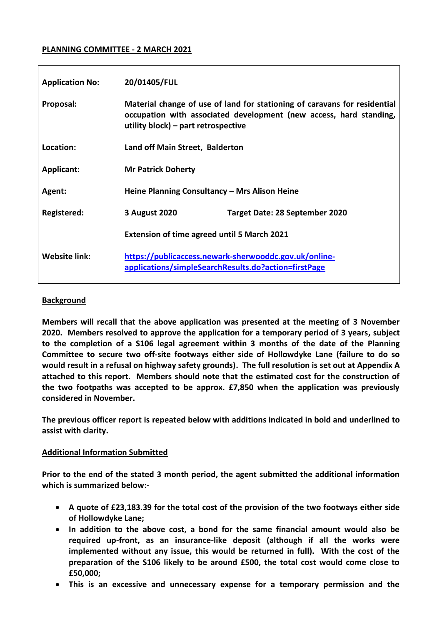### **PLANNING COMMITTEE - 2 MARCH 2021**

| <b>Application No:</b> | 20/01405/FUL                                                                                                                                                                           |                                       |  |
|------------------------|----------------------------------------------------------------------------------------------------------------------------------------------------------------------------------------|---------------------------------------|--|
| Proposal:              | Material change of use of land for stationing of caravans for residential<br>occupation with associated development (new access, hard standing,<br>utility block) – part retrospective |                                       |  |
| Location:              | Land off Main Street, Balderton                                                                                                                                                        |                                       |  |
| <b>Applicant:</b>      | <b>Mr Patrick Doherty</b>                                                                                                                                                              |                                       |  |
| Agent:                 | Heine Planning Consultancy - Mrs Alison Heine                                                                                                                                          |                                       |  |
| Registered:            | 3 August 2020                                                                                                                                                                          | <b>Target Date: 28 September 2020</b> |  |
|                        | <b>Extension of time agreed until 5 March 2021</b>                                                                                                                                     |                                       |  |
| <b>Website link:</b>   | https://publicaccess.newark-sherwooddc.gov.uk/online-<br>applications/simpleSearchResults.do?action=firstPage                                                                          |                                       |  |

### **Background**

**Members will recall that the above application was presented at the meeting of 3 November 2020. Members resolved to approve the application for a temporary period of 3 years, subject to the completion of a S106 legal agreement within 3 months of the date of the Planning Committee to secure two off-site footways either side of Hollowdyke Lane (failure to do so would result in a refusal on highway safety grounds). The full resolution is set out at Appendix A attached to this report. Members should note that the estimated cost for the construction of the two footpaths was accepted to be approx. £7,850 when the application was previously considered in November.**

**The previous officer report is repeated below with additions indicated in bold and underlined to assist with clarity.** 

### **Additional Information Submitted**

**Prior to the end of the stated 3 month period, the agent submitted the additional information which is summarized below:-**

- **A quote of £23,183.39 for the total cost of the provision of the two footways either side of Hollowdyke Lane;**
- **In addition to the above cost, a bond for the same financial amount would also be required up-front, as an insurance-like deposit (although if all the works were implemented without any issue, this would be returned in full). With the cost of the preparation of the S106 likely to be around £500, the total cost would come close to £50,000;**
- **This is an excessive and unnecessary expense for a temporary permission and the**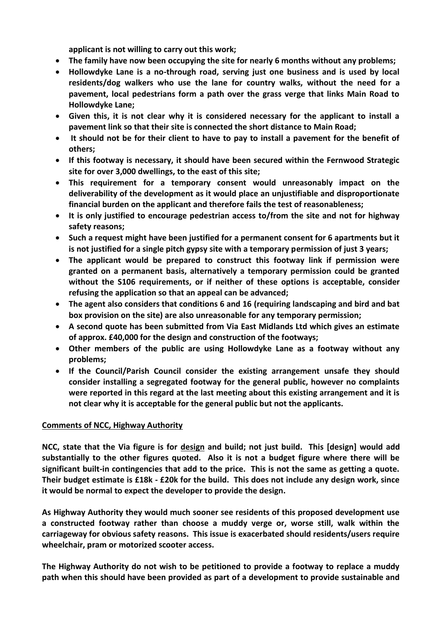**applicant is not willing to carry out this work;**

- **The family have now been occupying the site for nearly 6 months without any problems;**
- **Hollowdyke Lane is a no-through road, serving just one business and is used by local residents/dog walkers who use the lane for country walks, without the need for a pavement, local pedestrians form a path over the grass verge that links Main Road to Hollowdyke Lane;**
- **Given this, it is not clear why it is considered necessary for the applicant to install a pavement link so that their site is connected the short distance to Main Road;**
- **It should not be for their client to have to pay to install a pavement for the benefit of others;**
- **If this footway is necessary, it should have been secured within the Fernwood Strategic site for over 3,000 dwellings, to the east of this site;**
- **This requirement for a temporary consent would unreasonably impact on the deliverability of the development as it would place an unjustifiable and disproportionate financial burden on the applicant and therefore fails the test of reasonableness;**
- **It is only justified to encourage pedestrian access to/from the site and not for highway safety reasons;**
- **Such a request might have been justified for a permanent consent for 6 apartments but it is not justified for a single pitch gypsy site with a temporary permission of just 3 years;**
- **The applicant would be prepared to construct this footway link if permission were granted on a permanent basis, alternatively a temporary permission could be granted without the S106 requirements, or if neither of these options is acceptable, consider refusing the application so that an appeal can be advanced;**
- **The agent also considers that conditions 6 and 16 (requiring landscaping and bird and bat box provision on the site) are also unreasonable for any temporary permission;**
- **A second quote has been submitted from Via East Midlands Ltd which gives an estimate of approx. £40,000 for the design and construction of the footways;**
- **Other members of the public are using Hollowdyke Lane as a footway without any problems;**
- **If the Council/Parish Council consider the existing arrangement unsafe they should consider installing a segregated footway for the general public, however no complaints were reported in this regard at the last meeting about this existing arrangement and it is not clear why it is acceptable for the general public but not the applicants.**

# **Comments of NCC, Highway Authority**

**NCC, state that the Via figure is for design and build; not just build. This [design] would add substantially to the other figures quoted. Also it is not a budget figure where there will be significant built-in contingencies that add to the price. This is not the same as getting a quote. Their budget estimate is £18k - £20k for the build. This does not include any design work, since it would be normal to expect the developer to provide the design.**

**As Highway Authority they would much sooner see residents of this proposed development use a constructed footway rather than choose a muddy verge or, worse still, walk within the carriageway for obvious safety reasons. This issue is exacerbated should residents/users require wheelchair, pram or motorized scooter access.**

**The Highway Authority do not wish to be petitioned to provide a footway to replace a muddy path when this should have been provided as part of a development to provide sustainable and**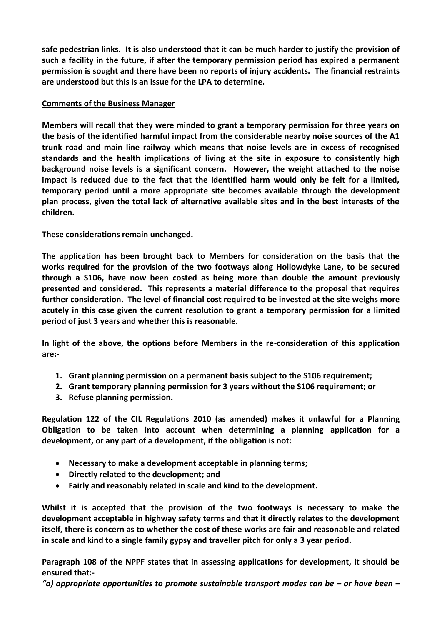**safe pedestrian links. It is also understood that it can be much harder to justify the provision of such a facility in the future, if after the temporary permission period has expired a permanent permission is sought and there have been no reports of injury accidents. The financial restraints are understood but this is an issue for the LPA to determine.**

## **Comments of the Business Manager**

**Members will recall that they were minded to grant a temporary permission for three years on the basis of the identified harmful impact from the considerable nearby noise sources of the A1 trunk road and main line railway which means that noise levels are in excess of recognised standards and the health implications of living at the site in exposure to consistently high background noise levels is a significant concern. However, the weight attached to the noise impact is reduced due to the fact that the identified harm would only be felt for a limited, temporary period until a more appropriate site becomes available through the development plan process, given the total lack of alternative available sites and in the best interests of the children.**

**These considerations remain unchanged.**

**The application has been brought back to Members for consideration on the basis that the works required for the provision of the two footways along Hollowdyke Lane, to be secured through a S106, have now been costed as being more than double the amount previously presented and considered. This represents a material difference to the proposal that requires further consideration. The level of financial cost required to be invested at the site weighs more acutely in this case given the current resolution to grant a temporary permission for a limited period of just 3 years and whether this is reasonable.**

**In light of the above, the options before Members in the re-consideration of this application are:-**

- **1. Grant planning permission on a permanent basis subject to the S106 requirement;**
- **2. Grant temporary planning permission for 3 years without the S106 requirement; or**
- **3. Refuse planning permission.**

**Regulation 122 of the CIL Regulations 2010 (as amended) makes it unlawful for a Planning Obligation to be taken into account when determining a planning application for a development, or any part of a development, if the obligation is not:**

- **Necessary to make a development acceptable in planning terms;**
- **Directly related to the development; and**
- **Fairly and reasonably related in scale and kind to the development.**

**Whilst it is accepted that the provision of the two footways is necessary to make the development acceptable in highway safety terms and that it directly relates to the development itself, there is concern as to whether the cost of these works are fair and reasonable and related in scale and kind to a single family gypsy and traveller pitch for only a 3 year period.** 

**Paragraph 108 of the NPPF states that in assessing applications for development, it should be ensured that:-**

*"a) appropriate opportunities to promote sustainable transport modes can be – or have been –*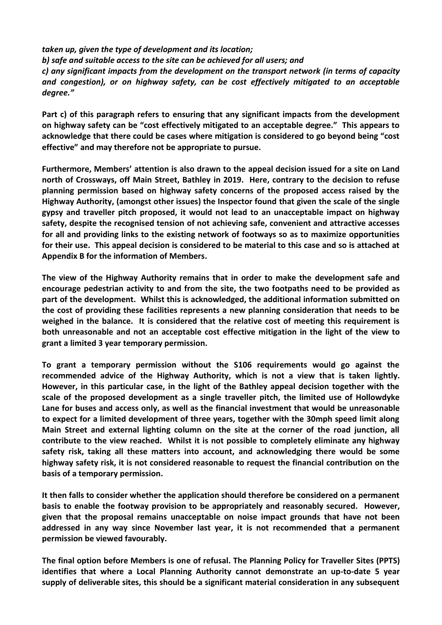*taken up, given the type of development and its location; b) safe and suitable access to the site can be achieved for all users; and c) any significant impacts from the development on the transport network (in terms of capacity and congestion), or on highway safety, can be cost effectively mitigated to an acceptable degree."*

**Part c) of this paragraph refers to ensuring that any significant impacts from the development on highway safety can be "cost effectively mitigated to an acceptable degree." This appears to acknowledge that there could be cases where mitigation is considered to go beyond being "cost effective" and may therefore not be appropriate to pursue.**

**Furthermore, Members' attention is also drawn to the appeal decision issued for a site on Land north of Crossways, off Main Street, Bathley in 2019. Here, contrary to the decision to refuse planning permission based on highway safety concerns of the proposed access raised by the Highway Authority, (amongst other issues) the Inspector found that given the scale of the single gypsy and traveller pitch proposed, it would not lead to an unacceptable impact on highway safety, despite the recognised tension of not achieving safe, convenient and attractive accesses for all and providing links to the existing network of footways so as to maximize opportunities for their use. This appeal decision is considered to be material to this case and so is attached at Appendix B for the information of Members.**

**The view of the Highway Authority remains that in order to make the development safe and encourage pedestrian activity to and from the site, the two footpaths need to be provided as part of the development. Whilst this is acknowledged, the additional information submitted on the cost of providing these facilities represents a new planning consideration that needs to be weighed in the balance. It is considered that the relative cost of meeting this requirement is both unreasonable and not an acceptable cost effective mitigation in the light of the view to grant a limited 3 year temporary permission.**

**To grant a temporary permission without the S106 requirements would go against the recommended advice of the Highway Authority, which is not a view that is taken lightly. However, in this particular case, in the light of the Bathley appeal decision together with the scale of the proposed development as a single traveller pitch, the limited use of Hollowdyke Lane for buses and access only, as well as the financial investment that would be unreasonable to expect for a limited development of three years, together with the 30mph speed limit along Main Street and external lighting column on the site at the corner of the road junction, all contribute to the view reached. Whilst it is not possible to completely eliminate any highway safety risk, taking all these matters into account, and acknowledging there would be some highway safety risk, it is not considered reasonable to request the financial contribution on the basis of a temporary permission.**

**It then falls to consider whether the application should therefore be considered on a permanent basis to enable the footway provision to be appropriately and reasonably secured. However, given that the proposal remains unacceptable on noise impact grounds that have not been addressed in any way since November last year, it is not recommended that a permanent permission be viewed favourably.**

**The final option before Members is one of refusal. The Planning Policy for Traveller Sites (PPTS) identifies that where a Local Planning Authority cannot demonstrate an up-to-date 5 year supply of deliverable sites, this should be a significant material consideration in any subsequent**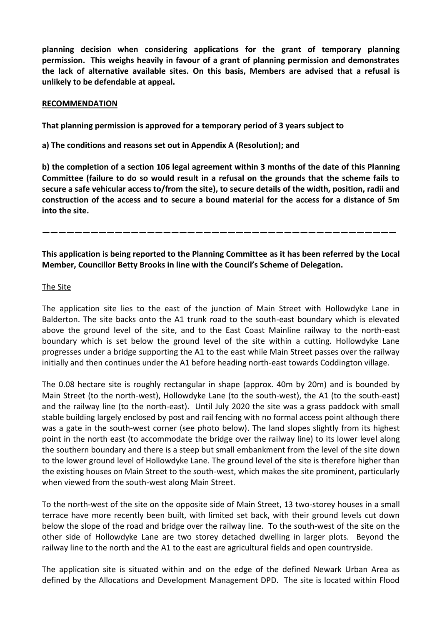**planning decision when considering applications for the grant of temporary planning permission. This weighs heavily in favour of a grant of planning permission and demonstrates the lack of alternative available sites. On this basis, Members are advised that a refusal is unlikely to be defendable at appeal.**

#### **RECOMMENDATION**

**That planning permission is approved for a temporary period of 3 years subject to**

**a) The conditions and reasons set out in Appendix A (Resolution); and**

**b) the completion of a section 106 legal agreement within 3 months of the date of this Planning Committee (failure to do so would result in a refusal on the grounds that the scheme fails to secure a safe vehicular access to/from the site), to secure details of the width, position, radii and construction of the access and to secure a bound material for the access for a distance of 5m into the site.**

**————————————————————————————————————————————**

**This application is being reported to the Planning Committee as it has been referred by the Local Member, Councillor Betty Brooks in line with the Council's Scheme of Delegation.**

### The Site

The application site lies to the east of the junction of Main Street with Hollowdyke Lane in Balderton. The site backs onto the A1 trunk road to the south-east boundary which is elevated above the ground level of the site, and to the East Coast Mainline railway to the north-east boundary which is set below the ground level of the site within a cutting. Hollowdyke Lane progresses under a bridge supporting the A1 to the east while Main Street passes over the railway initially and then continues under the A1 before heading north-east towards Coddington village.

The 0.08 hectare site is roughly rectangular in shape (approx. 40m by 20m) and is bounded by Main Street (to the north-west), Hollowdyke Lane (to the south-west), the A1 (to the south-east) and the railway line (to the north-east). Until July 2020 the site was a grass paddock with small stable building largely enclosed by post and rail fencing with no formal access point although there was a gate in the south-west corner (see photo below). The land slopes slightly from its highest point in the north east (to accommodate the bridge over the railway line) to its lower level along the southern boundary and there is a steep but small embankment from the level of the site down to the lower ground level of Hollowdyke Lane. The ground level of the site is therefore higher than the existing houses on Main Street to the south-west, which makes the site prominent, particularly when viewed from the south-west along Main Street.

To the north-west of the site on the opposite side of Main Street, 13 two-storey houses in a small terrace have more recently been built, with limited set back, with their ground levels cut down below the slope of the road and bridge over the railway line. To the south-west of the site on the other side of Hollowdyke Lane are two storey detached dwelling in larger plots. Beyond the railway line to the north and the A1 to the east are agricultural fields and open countryside.

The application site is situated within and on the edge of the defined Newark Urban Area as defined by the Allocations and Development Management DPD. The site is located within Flood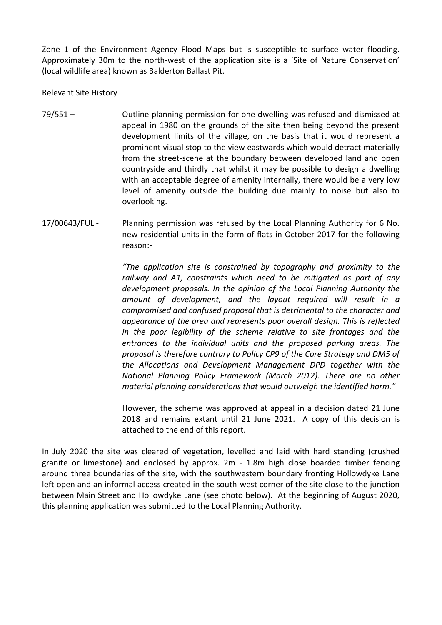Zone 1 of the Environment Agency Flood Maps but is susceptible to surface water flooding. Approximately 30m to the north-west of the application site is a 'Site of Nature Conservation' (local wildlife area) known as Balderton Ballast Pit.

### Relevant Site History

- 79/551 Outline planning permission for one dwelling was refused and dismissed at appeal in 1980 on the grounds of the site then being beyond the present development limits of the village, on the basis that it would represent a prominent visual stop to the view eastwards which would detract materially from the street-scene at the boundary between developed land and open countryside and thirdly that whilst it may be possible to design a dwelling with an acceptable degree of amenity internally, there would be a very low level of amenity outside the building due mainly to noise but also to overlooking.
- 17/00643/FUL Planning permission was refused by the Local Planning Authority for 6 No. new residential units in the form of flats in October 2017 for the following reason:-

*"The application site is constrained by topography and proximity to the railway and A1, constraints which need to be mitigated as part of any development proposals. In the opinion of the Local Planning Authority the amount of development, and the layout required will result in a compromised and confused proposal that is detrimental to the character and appearance of the area and represents poor overall design. This is reflected in the poor legibility of the scheme relative to site frontages and the entrances to the individual units and the proposed parking areas. The proposal is therefore contrary to Policy CP9 of the Core Strategy and DM5 of the Allocations and Development Management DPD together with the National Planning Policy Framework (March 2012). There are no other material planning considerations that would outweigh the identified harm."*

However, the scheme was approved at appeal in a decision dated 21 June 2018 and remains extant until 21 June 2021. A copy of this decision is attached to the end of this report.

In July 2020 the site was cleared of vegetation, levelled and laid with hard standing (crushed granite or limestone) and enclosed by approx. 2m - 1.8m high close boarded timber fencing around three boundaries of the site, with the southwestern boundary fronting Hollowdyke Lane left open and an informal access created in the south-west corner of the site close to the junction between Main Street and Hollowdyke Lane (see photo below). At the beginning of August 2020, this planning application was submitted to the Local Planning Authority.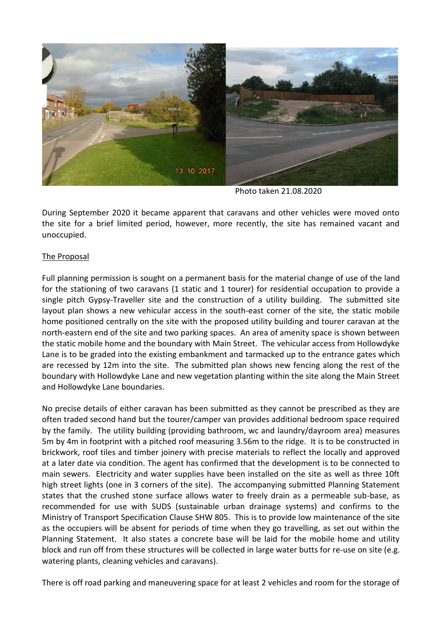

Photo taken 21.08.2020

During September 2020 it became apparent that caravans and other vehicles were moved onto the site for a brief limited period, however, more recently, the site has remained vacant and unoccupied.

## The Proposal

Full planning permission is sought on a permanent basis for the material change of use of the land for the stationing of two caravans (1 static and 1 tourer) for residential occupation to provide a single pitch Gypsy-Traveller site and the construction of a utility building. The submitted site layout plan shows a new vehicular access in the south-east corner of the site, the static mobile home positioned centrally on the site with the proposed utility building and tourer caravan at the north-eastern end of the site and two parking spaces. An area of amenity space is shown between the static mobile home and the boundary with Main Street. The vehicular access from Hollowdyke Lane is to be graded into the existing embankment and tarmacked up to the entrance gates which are recessed by 12m into the site. The submitted plan shows new fencing along the rest of the boundary with Hollowdyke Lane and new vegetation planting within the site along the Main Street and Hollowdyke Lane boundaries.

No precise details of either caravan has been submitted as they cannot be prescribed as they are often traded second hand but the tourer/camper van provides additional bedroom space required by the family. The utility building (providing bathroom, wc and laundry/dayroom area) measures 5m by 4m in footprint with a pitched roof measuring 3.56m to the ridge. It is to be constructed in brickwork, roof tiles and timber joinery with precise materials to reflect the locally and approved at a later date via condition. The agent has confirmed that the development is to be connected to main sewers. Electricity and water supplies have been installed on the site as well as three 10ft high street lights (one in 3 corners of the site). The accompanying submitted Planning Statement states that the crushed stone surface allows water to freely drain as a permeable sub-base, as recommended for use with SUDS (sustainable urban drainage systems) and confirms to the Ministry of Transport Specification Clause SHW 805. This is to provide low maintenance of the site as the occupiers will be absent for periods of time when they go travelling, as set out within the Planning Statement. It also states a concrete base will be laid for the mobile home and utility block and run off from these structures will be collected in large water butts for re-use on site (e.g. watering plants, cleaning vehicles and caravans).

There is off road parking and maneuvering space for at least 2 vehicles and room for the storage of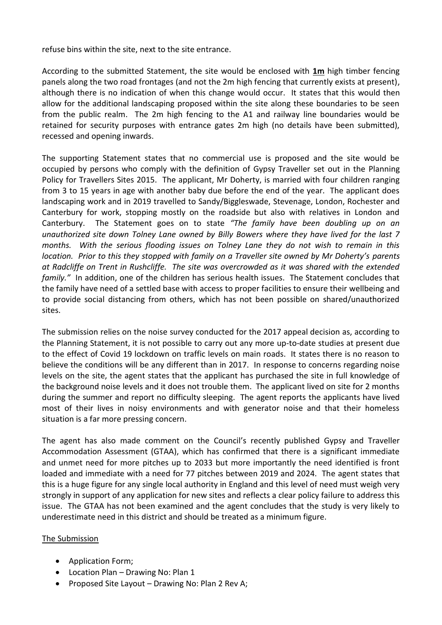refuse bins within the site, next to the site entrance.

According to the submitted Statement, the site would be enclosed with **1m** high timber fencing panels along the two road frontages (and not the 2m high fencing that currently exists at present), although there is no indication of when this change would occur. It states that this would then allow for the additional landscaping proposed within the site along these boundaries to be seen from the public realm. The 2m high fencing to the A1 and railway line boundaries would be retained for security purposes with entrance gates 2m high (no details have been submitted), recessed and opening inwards.

The supporting Statement states that no commercial use is proposed and the site would be occupied by persons who comply with the definition of Gypsy Traveller set out in the Planning Policy for Travellers Sites 2015. The applicant, Mr Doherty, is married with four children ranging from 3 to 15 years in age with another baby due before the end of the year. The applicant does landscaping work and in 2019 travelled to Sandy/Biggleswade, Stevenage, London, Rochester and Canterbury for work, stopping mostly on the roadside but also with relatives in London and Canterbury. The Statement goes on to state *"The family have been doubling up on an unauthorized site down Tolney Lane owned by Billy Bowers where they have lived for the last 7 months. With the serious flooding issues on Tolney Lane they do not wish to remain in this location. Prior to this they stopped with family on a Traveller site owned by Mr Doherty's parents at Radcliffe on Trent in Rushcliffe. The site was overcrowded as it was shared with the extended family."* In addition, one of the children has serious health issues. The Statement concludes that the family have need of a settled base with access to proper facilities to ensure their wellbeing and to provide social distancing from others, which has not been possible on shared/unauthorized sites.

The submission relies on the noise survey conducted for the 2017 appeal decision as, according to the Planning Statement, it is not possible to carry out any more up-to-date studies at present due to the effect of Covid 19 lockdown on traffic levels on main roads. It states there is no reason to believe the conditions will be any different than in 2017. In response to concerns regarding noise levels on the site, the agent states that the applicant has purchased the site in full knowledge of the background noise levels and it does not trouble them. The applicant lived on site for 2 months during the summer and report no difficulty sleeping. The agent reports the applicants have lived most of their lives in noisy environments and with generator noise and that their homeless situation is a far more pressing concern.

The agent has also made comment on the Council's recently published Gypsy and Traveller Accommodation Assessment (GTAA), which has confirmed that there is a significant immediate and unmet need for more pitches up to 2033 but more importantly the need identified is front loaded and immediate with a need for 77 pitches between 2019 and 2024. The agent states that this is a huge figure for any single local authority in England and this level of need must weigh very strongly in support of any application for new sites and reflects a clear policy failure to address this issue. The GTAA has not been examined and the agent concludes that the study is very likely to underestimate need in this district and should be treated as a minimum figure.

### The Submission

- Application Form;
- Location Plan Drawing No: Plan 1
- Proposed Site Layout Drawing No: Plan 2 Rev A;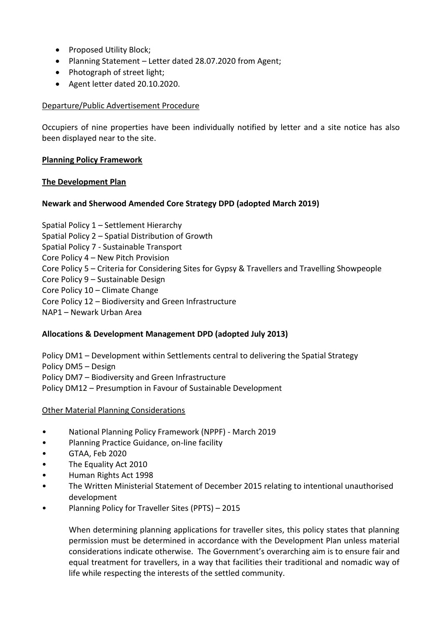- Proposed Utility Block;
- Planning Statement Letter dated 28.07.2020 from Agent;
- Photograph of street light:
- Agent letter dated 20.10.2020.

### Departure/Public Advertisement Procedure

Occupiers of nine properties have been individually notified by letter and a site notice has also been displayed near to the site.

### **Planning Policy Framework**

## **The Development Plan**

# **Newark and Sherwood Amended Core Strategy DPD (adopted March 2019)**

Spatial Policy 1 – Settlement Hierarchy Spatial Policy 2 – Spatial Distribution of Growth Spatial Policy 7 - Sustainable Transport Core Policy 4 – New Pitch Provision Core Policy 5 – Criteria for Considering Sites for Gypsy & Travellers and Travelling Showpeople Core Policy 9 – Sustainable Design Core Policy 10 – Climate Change Core Policy 12 – Biodiversity and Green Infrastructure NAP1 – Newark Urban Area

# **Allocations & Development Management DPD (adopted July 2013)**

Policy DM1 – Development within Settlements central to delivering the Spatial Strategy Policy DM5 – Design Policy DM7 – Biodiversity and Green Infrastructure Policy DM12 – Presumption in Favour of Sustainable Development

### Other Material Planning Considerations

- National Planning Policy Framework (NPPF) March 2019
- Planning Practice Guidance, on-line facility
- GTAA, Feb 2020
- The Equality Act 2010
- Human Rights Act 1998
- The Written Ministerial Statement of December 2015 relating to intentional unauthorised development
- Planning Policy for Traveller Sites (PPTS) 2015

When determining planning applications for traveller sites, this policy states that planning permission must be determined in accordance with the Development Plan unless material considerations indicate otherwise. The Government's overarching aim is to ensure fair and equal treatment for travellers, in a way that facilities their traditional and nomadic way of life while respecting the interests of the settled community.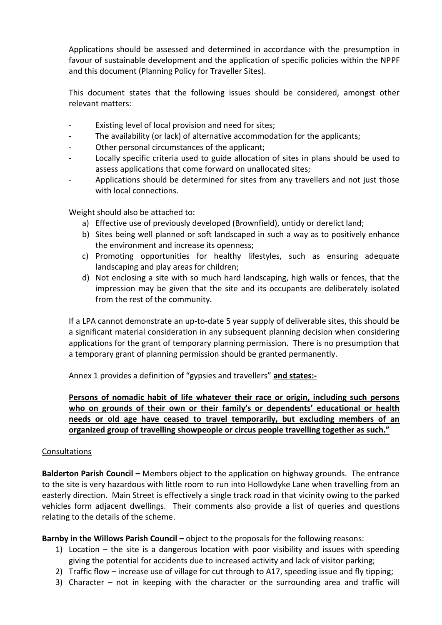Applications should be assessed and determined in accordance with the presumption in favour of sustainable development and the application of specific policies within the NPPF and this document (Planning Policy for Traveller Sites).

This document states that the following issues should be considered, amongst other relevant matters:

- Existing level of local provision and need for sites;
- The availability (or lack) of alternative accommodation for the applicants;
- Other personal circumstances of the applicant;
- Locally specific criteria used to guide allocation of sites in plans should be used to assess applications that come forward on unallocated sites;
- Applications should be determined for sites from any travellers and not just those with local connections.

Weight should also be attached to:

- a) Effective use of previously developed (Brownfield), untidy or derelict land;
- b) Sites being well planned or soft landscaped in such a way as to positively enhance the environment and increase its openness;
- c) Promoting opportunities for healthy lifestyles, such as ensuring adequate landscaping and play areas for children;
- d) Not enclosing a site with so much hard landscaping, high walls or fences, that the impression may be given that the site and its occupants are deliberately isolated from the rest of the community.

If a LPA cannot demonstrate an up-to-date 5 year supply of deliverable sites, this should be a significant material consideration in any subsequent planning decision when considering applications for the grant of temporary planning permission. There is no presumption that a temporary grant of planning permission should be granted permanently.

Annex 1 provides a definition of "gypsies and travellers" **and states:-**

**Persons of nomadic habit of life whatever their race or origin, including such persons who on grounds of their own or their family's or dependents' educational or health needs or old age have ceased to travel temporarily, but excluding members of an organized group of travelling showpeople or circus people travelling together as such."**

### Consultations

**Balderton Parish Council –** Members object to the application on highway grounds. The entrance to the site is very hazardous with little room to run into Hollowdyke Lane when travelling from an easterly direction. Main Street is effectively a single track road in that vicinity owing to the parked vehicles form adjacent dwellings. Their comments also provide a list of queries and questions relating to the details of the scheme.

**Barnby in the Willows Parish Council –** object to the proposals for the following reasons:

- 1) Location the site is a dangerous location with poor visibility and issues with speeding giving the potential for accidents due to increased activity and lack of visitor parking;
- 2) Traffic flow increase use of village for cut through to A17, speeding issue and fly tipping;
- 3) Character not in keeping with the character or the surrounding area and traffic will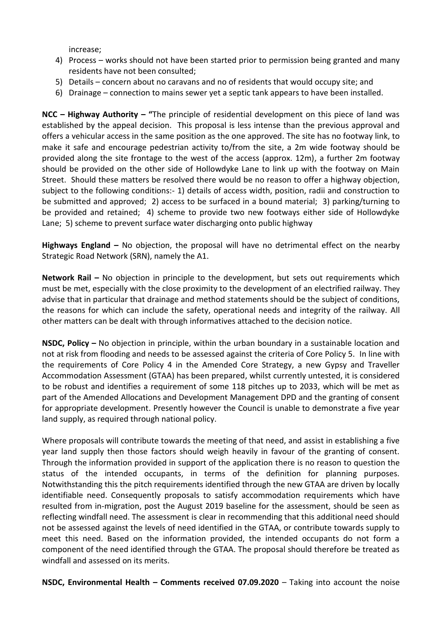increase;

- 4) Process works should not have been started prior to permission being granted and many residents have not been consulted;
- 5) Details concern about no caravans and no of residents that would occupy site; and
- 6) Drainage connection to mains sewer yet a septic tank appears to have been installed.

**NCC – Highway Authority – "**The principle of residential development on this piece of land was established by the appeal decision. This proposal is less intense than the previous approval and offers a vehicular access in the same position as the one approved. The site has no footway link, to make it safe and encourage pedestrian activity to/from the site, a 2m wide footway should be provided along the site frontage to the west of the access (approx. 12m), a further 2m footway should be provided on the other side of Hollowdyke Lane to link up with the footway on Main Street. Should these matters be resolved there would be no reason to offer a highway objection, subject to the following conditions:- 1) details of access width, position, radii and construction to be submitted and approved; 2) access to be surfaced in a bound material; 3) parking/turning to be provided and retained; 4) scheme to provide two new footways either side of Hollowdyke Lane; 5) scheme to prevent surface water discharging onto public highway

**Highways England –** No objection, the proposal will have no detrimental effect on the nearby Strategic Road Network (SRN), namely the A1.

**Network Rail –** No objection in principle to the development, but sets out requirements which must be met, especially with the close proximity to the development of an electrified railway. They advise that in particular that drainage and method statements should be the subject of conditions, the reasons for which can include the safety, operational needs and integrity of the railway. All other matters can be dealt with through informatives attached to the decision notice.

**NSDC, Policy –** No objection in principle, within the urban boundary in a sustainable location and not at risk from flooding and needs to be assessed against the criteria of Core Policy 5. In line with the requirements of Core Policy 4 in the Amended Core Strategy, a new Gypsy and Traveller Accommodation Assessment (GTAA) has been prepared, whilst currently untested, it is considered to be robust and identifies a requirement of some 118 pitches up to 2033, which will be met as part of the Amended Allocations and Development Management DPD and the granting of consent for appropriate development. Presently however the Council is unable to demonstrate a five year land supply, as required through national policy.

Where proposals will contribute towards the meeting of that need, and assist in establishing a five year land supply then those factors should weigh heavily in favour of the granting of consent. Through the information provided in support of the application there is no reason to question the status of the intended occupants, in terms of the definition for planning purposes. Notwithstanding this the pitch requirements identified through the new GTAA are driven by locally identifiable need. Consequently proposals to satisfy accommodation requirements which have resulted from in-migration, post the August 2019 baseline for the assessment, should be seen as reflecting windfall need. The assessment is clear in recommending that this additional need should not be assessed against the levels of need identified in the GTAA, or contribute towards supply to meet this need. Based on the information provided, the intended occupants do not form a component of the need identified through the GTAA. The proposal should therefore be treated as windfall and assessed on its merits.

**NSDC, Environmental Health – Comments received 07.09.2020** – Taking into account the noise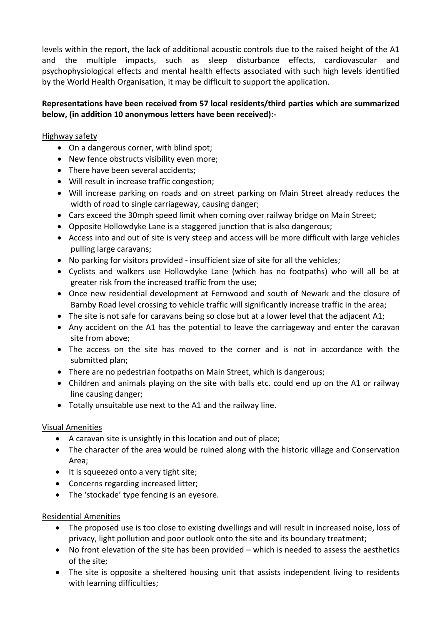levels within the report, the lack of additional acoustic controls due to the raised height of the A1 and the multiple impacts, such as sleep disturbance effects, cardiovascular and psychophysiological effects and mental health effects associated with such high levels identified by the World Health Organisation, it may be difficult to support the application.

# **Representations have been received from 57 local residents/third parties which are summarized below, (in addition 10 anonymous letters have been received):-**

# Highway safety

- On a dangerous corner, with blind spot;
- New fence obstructs visibility even more;
- There have been several accidents;
- Will result in increase traffic congestion;
- Will increase parking on roads and on street parking on Main Street already reduces the width of road to single carriageway, causing danger;
- Cars exceed the 30mph speed limit when coming over railway bridge on Main Street;
- Opposite Hollowdyke Lane is a staggered junction that is also dangerous;
- Access into and out of site is very steep and access will be more difficult with large vehicles pulling large caravans;
- No parking for visitors provided insufficient size of site for all the vehicles;
- Cyclists and walkers use Hollowdyke Lane (which has no footpaths) who will all be at greater risk from the increased traffic from the use;
- Once new residential development at Fernwood and south of Newark and the closure of Barnby Road level crossing to vehicle traffic will significantly increase traffic in the area;
- The site is not safe for caravans being so close but at a lower level that the adjacent A1;
- Any accident on the A1 has the potential to leave the carriageway and enter the caravan site from above;
- The access on the site has moved to the corner and is not in accordance with the submitted plan;
- There are no pedestrian footpaths on Main Street, which is dangerous;
- Children and animals playing on the site with balls etc. could end up on the A1 or railway line causing danger;
- Totally unsuitable use next to the A1 and the railway line.

# Visual Amenities

- A caravan site is unsightly in this location and out of place;
- The character of the area would be ruined along with the historic village and Conservation Area;
- It is squeezed onto a very tight site;
- Concerns regarding increased litter;
- The 'stockade' type fencing is an eyesore.

# Residential Amenities

- The proposed use is too close to existing dwellings and will result in increased noise, loss of privacy, light pollution and poor outlook onto the site and its boundary treatment;
- No front elevation of the site has been provided which is needed to assess the aesthetics of the site;
- The site is opposite a sheltered housing unit that assists independent living to residents with learning difficulties;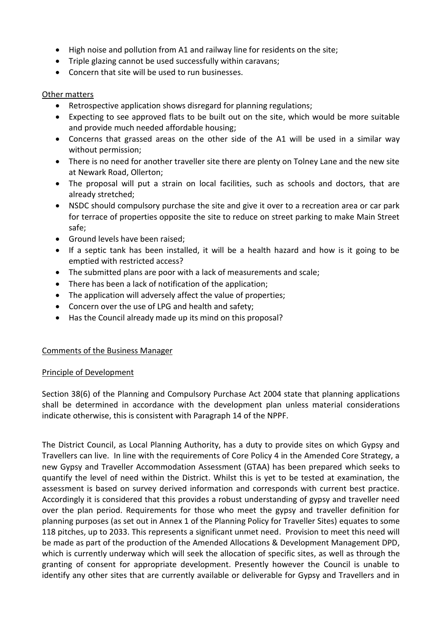- High noise and pollution from A1 and railway line for residents on the site;
- Triple glazing cannot be used successfully within caravans;
- Concern that site will be used to run businesses.

## Other matters

- Retrospective application shows disregard for planning regulations;
- Expecting to see approved flats to be built out on the site, which would be more suitable and provide much needed affordable housing;
- Concerns that grassed areas on the other side of the A1 will be used in a similar way without permission;
- There is no need for another traveller site there are plenty on Tolney Lane and the new site at Newark Road, Ollerton;
- The proposal will put a strain on local facilities, such as schools and doctors, that are already stretched;
- NSDC should compulsory purchase the site and give it over to a recreation area or car park for terrace of properties opposite the site to reduce on street parking to make Main Street safe;
- Ground levels have been raised;
- If a septic tank has been installed, it will be a health hazard and how is it going to be emptied with restricted access?
- The submitted plans are poor with a lack of measurements and scale;
- There has been a lack of notification of the application;
- The application will adversely affect the value of properties;
- Concern over the use of LPG and health and safety;
- Has the Council already made up its mind on this proposal?

# Comments of the Business Manager

# Principle of Development

Section 38(6) of the Planning and Compulsory Purchase Act 2004 state that planning applications shall be determined in accordance with the development plan unless material considerations indicate otherwise, this is consistent with Paragraph 14 of the NPPF.

The District Council, as Local Planning Authority, has a duty to provide sites on which Gypsy and Travellers can live. In line with the requirements of Core Policy 4 in the Amended Core Strategy, a new Gypsy and Traveller Accommodation Assessment (GTAA) has been prepared which seeks to quantify the level of need within the District. Whilst this is yet to be tested at examination, the assessment is based on survey derived information and corresponds with current best practice. Accordingly it is considered that this provides a robust understanding of gypsy and traveller need over the plan period. Requirements for those who meet the gypsy and traveller definition for planning purposes (as set out in Annex 1 of the Planning Policy for Traveller Sites) equates to some 118 pitches, up to 2033. This represents a significant unmet need. Provision to meet this need will be made as part of the production of the Amended Allocations & Development Management DPD, which is currently underway which will seek the allocation of specific sites, as well as through the granting of consent for appropriate development. Presently however the Council is unable to identify any other sites that are currently available or deliverable for Gypsy and Travellers and in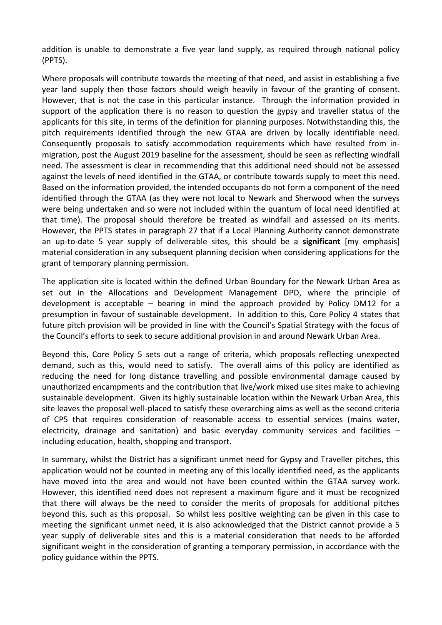addition is unable to demonstrate a five year land supply, as required through national policy (PPTS).

Where proposals will contribute towards the meeting of that need, and assist in establishing a five year land supply then those factors should weigh heavily in favour of the granting of consent. However, that is not the case in this particular instance. Through the information provided in support of the application there is no reason to question the gypsy and traveller status of the applicants for this site, in terms of the definition for planning purposes. Notwithstanding this, the pitch requirements identified through the new GTAA are driven by locally identifiable need. Consequently proposals to satisfy accommodation requirements which have resulted from inmigration, post the August 2019 baseline for the assessment, should be seen as reflecting windfall need. The assessment is clear in recommending that this additional need should not be assessed against the levels of need identified in the GTAA, or contribute towards supply to meet this need. Based on the information provided, the intended occupants do not form a component of the need identified through the GTAA (as they were not local to Newark and Sherwood when the surveys were being undertaken and so were not included within the quantum of local need identified at that time). The proposal should therefore be treated as windfall and assessed on its merits. However, the PPTS states in paragraph 27 that if a Local Planning Authority cannot demonstrate an up-to-date 5 year supply of deliverable sites, this should be a **significant** [my emphasis] material consideration in any subsequent planning decision when considering applications for the grant of temporary planning permission.

The application site is located within the defined Urban Boundary for the Newark Urban Area as set out in the Allocations and Development Management DPD, where the principle of development is acceptable – bearing in mind the approach provided by Policy DM12 for a presumption in favour of sustainable development. In addition to this, Core Policy 4 states that future pitch provision will be provided in line with the Council's Spatial Strategy with the focus of the Council's efforts to seek to secure additional provision in and around Newark Urban Area.

Beyond this, Core Policy 5 sets out a range of criteria, which proposals reflecting unexpected demand, such as this, would need to satisfy. The overall aims of this policy are identified as reducing the need for long distance travelling and possible environmental damage caused by unauthorized encampments and the contribution that live/work mixed use sites make to achieving sustainable development. Given its highly sustainable location within the Newark Urban Area, this site leaves the proposal well-placed to satisfy these overarching aims as well as the second criteria of CP5 that requires consideration of reasonable access to essential services (mains water, electricity, drainage and sanitation) and basic everyday community services and facilities – including education, health, shopping and transport.

In summary, whilst the District has a significant unmet need for Gypsy and Traveller pitches, this application would not be counted in meeting any of this locally identified need, as the applicants have moved into the area and would not have been counted within the GTAA survey work. However, this identified need does not represent a maximum figure and it must be recognized that there will always be the need to consider the merits of proposals for additional pitches beyond this, such as this proposal. So whilst less positive weighting can be given in this case to meeting the significant unmet need, it is also acknowledged that the District cannot provide a 5 year supply of deliverable sites and this is a material consideration that needs to be afforded significant weight in the consideration of granting a temporary permission, in accordance with the policy guidance within the PPTS.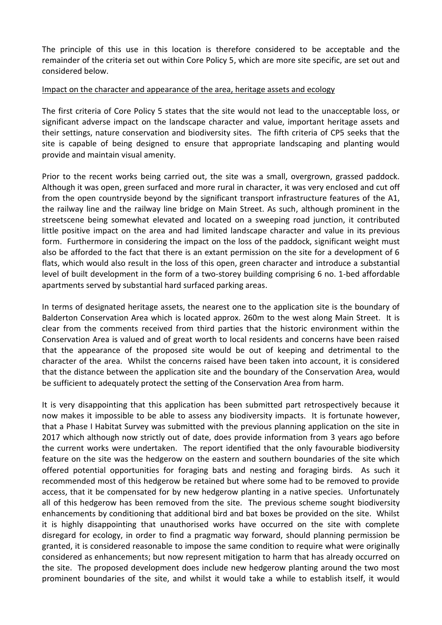The principle of this use in this location is therefore considered to be acceptable and the remainder of the criteria set out within Core Policy 5, which are more site specific, are set out and considered below.

### Impact on the character and appearance of the area, heritage assets and ecology

The first criteria of Core Policy 5 states that the site would not lead to the unacceptable loss, or significant adverse impact on the landscape character and value, important heritage assets and their settings, nature conservation and biodiversity sites. The fifth criteria of CP5 seeks that the site is capable of being designed to ensure that appropriate landscaping and planting would provide and maintain visual amenity.

Prior to the recent works being carried out, the site was a small, overgrown, grassed paddock. Although it was open, green surfaced and more rural in character, it was very enclosed and cut off from the open countryside beyond by the significant transport infrastructure features of the A1, the railway line and the railway line bridge on Main Street. As such, although prominent in the streetscene being somewhat elevated and located on a sweeping road junction, it contributed little positive impact on the area and had limited landscape character and value in its previous form. Furthermore in considering the impact on the loss of the paddock, significant weight must also be afforded to the fact that there is an extant permission on the site for a development of 6 flats, which would also result in the loss of this open, green character and introduce a substantial level of built development in the form of a two-storey building comprising 6 no. 1-bed affordable apartments served by substantial hard surfaced parking areas.

In terms of designated heritage assets, the nearest one to the application site is the boundary of Balderton Conservation Area which is located approx. 260m to the west along Main Street. It is clear from the comments received from third parties that the historic environment within the Conservation Area is valued and of great worth to local residents and concerns have been raised that the appearance of the proposed site would be out of keeping and detrimental to the character of the area. Whilst the concerns raised have been taken into account, it is considered that the distance between the application site and the boundary of the Conservation Area, would be sufficient to adequately protect the setting of the Conservation Area from harm.

It is very disappointing that this application has been submitted part retrospectively because it now makes it impossible to be able to assess any biodiversity impacts. It is fortunate however, that a Phase I Habitat Survey was submitted with the previous planning application on the site in 2017 which although now strictly out of date, does provide information from 3 years ago before the current works were undertaken. The report identified that the only favourable biodiversity feature on the site was the hedgerow on the eastern and southern boundaries of the site which offered potential opportunities for foraging bats and nesting and foraging birds. As such it recommended most of this hedgerow be retained but where some had to be removed to provide access, that it be compensated for by new hedgerow planting in a native species. Unfortunately all of this hedgerow has been removed from the site. The previous scheme sought biodiversity enhancements by conditioning that additional bird and bat boxes be provided on the site. Whilst it is highly disappointing that unauthorised works have occurred on the site with complete disregard for ecology, in order to find a pragmatic way forward, should planning permission be granted, it is considered reasonable to impose the same condition to require what were originally considered as enhancements; but now represent mitigation to harm that has already occurred on the site. The proposed development does include new hedgerow planting around the two most prominent boundaries of the site, and whilst it would take a while to establish itself, it would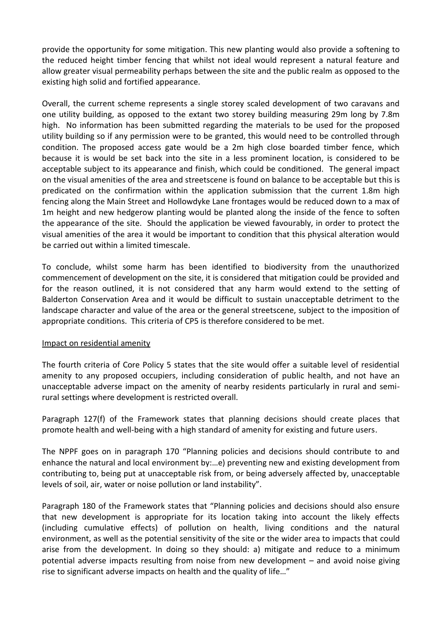provide the opportunity for some mitigation. This new planting would also provide a softening to the reduced height timber fencing that whilst not ideal would represent a natural feature and allow greater visual permeability perhaps between the site and the public realm as opposed to the existing high solid and fortified appearance.

Overall, the current scheme represents a single storey scaled development of two caravans and one utility building, as opposed to the extant two storey building measuring 29m long by 7.8m high. No information has been submitted regarding the materials to be used for the proposed utility building so if any permission were to be granted, this would need to be controlled through condition. The proposed access gate would be a 2m high close boarded timber fence, which because it is would be set back into the site in a less prominent location, is considered to be acceptable subject to its appearance and finish, which could be conditioned. The general impact on the visual amenities of the area and streetscene is found on balance to be acceptable but this is predicated on the confirmation within the application submission that the current 1.8m high fencing along the Main Street and Hollowdyke Lane frontages would be reduced down to a max of 1m height and new hedgerow planting would be planted along the inside of the fence to soften the appearance of the site. Should the application be viewed favourably, in order to protect the visual amenities of the area it would be important to condition that this physical alteration would be carried out within a limited timescale.

To conclude, whilst some harm has been identified to biodiversity from the unauthorized commencement of development on the site, it is considered that mitigation could be provided and for the reason outlined, it is not considered that any harm would extend to the setting of Balderton Conservation Area and it would be difficult to sustain unacceptable detriment to the landscape character and value of the area or the general streetscene, subject to the imposition of appropriate conditions. This criteria of CP5 is therefore considered to be met.

### Impact on residential amenity

The fourth criteria of Core Policy 5 states that the site would offer a suitable level of residential amenity to any proposed occupiers, including consideration of public health, and not have an unacceptable adverse impact on the amenity of nearby residents particularly in rural and semirural settings where development is restricted overall.

Paragraph 127(f) of the Framework states that planning decisions should create places that promote health and well-being with a high standard of amenity for existing and future users.

The NPPF goes on in paragraph 170 "Planning policies and decisions should contribute to and enhance the natural and local environment by:…e) preventing new and existing development from contributing to, being put at unacceptable risk from, or being adversely affected by, unacceptable levels of soil, air, water or noise pollution or land instability".

Paragraph 180 of the Framework states that "Planning policies and decisions should also ensure that new development is appropriate for its location taking into account the likely effects (including cumulative effects) of pollution on health, living conditions and the natural environment, as well as the potential sensitivity of the site or the wider area to impacts that could arise from the development. In doing so they should: a) mitigate and reduce to a minimum potential adverse impacts resulting from noise from new development – and avoid noise giving rise to significant adverse impacts on health and the quality of life…"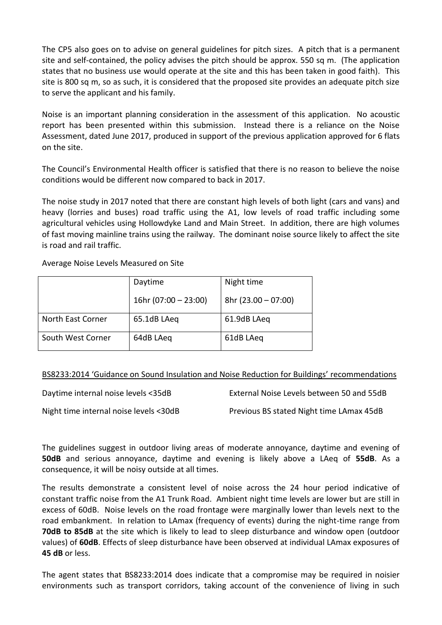The CP5 also goes on to advise on general guidelines for pitch sizes. A pitch that is a permanent site and self-contained, the policy advises the pitch should be approx. 550 sq m. (The application states that no business use would operate at the site and this has been taken in good faith). This site is 800 sq m, so as such, it is considered that the proposed site provides an adequate pitch size to serve the applicant and his family.

Noise is an important planning consideration in the assessment of this application. No acoustic report has been presented within this submission. Instead there is a reliance on the Noise Assessment, dated June 2017, produced in support of the previous application approved for 6 flats on the site.

The Council's Environmental Health officer is satisfied that there is no reason to believe the noise conditions would be different now compared to back in 2017.

The noise study in 2017 noted that there are constant high levels of both light (cars and vans) and heavy (lorries and buses) road traffic using the A1, low levels of road traffic including some agricultural vehicles using Hollowdyke Land and Main Street. In addition, there are high volumes of fast moving mainline trains using the railway. The dominant noise source likely to affect the site is road and rail traffic.

Average Noise Levels Measured on Site

|                   | Daytime                | Night time           |
|-------------------|------------------------|----------------------|
|                   | 16hr (07:00 $-$ 23:00) | $8hr(23.00 - 07:00)$ |
| North East Corner | 65.1dB LAeq            | 61.9dB LAeg          |
| South West Corner | 64dB LAeg              | 61dB LAeg            |

BS8233:2014 'Guidance on Sound Insulation and Noise Reduction for Buildings' recommendations

| Daytime internal noise levels <35dB    | External Noise Levels between 50 and 55dB |
|----------------------------------------|-------------------------------------------|
| Night time internal noise levels <30dB | Previous BS stated Night time LAmax 45dB  |

The guidelines suggest in outdoor living areas of moderate annoyance, daytime and evening of **50dB** and serious annoyance, daytime and evening is likely above a LAeq of **55dB**. As a consequence, it will be noisy outside at all times.

The results demonstrate a consistent level of noise across the 24 hour period indicative of constant traffic noise from the A1 Trunk Road. Ambient night time levels are lower but are still in excess of 60dB. Noise levels on the road frontage were marginally lower than levels next to the road embankment. In relation to LAmax (frequency of events) during the night-time range from **70dB to 85dB** at the site which is likely to lead to sleep disturbance and window open (outdoor values) of **60dB**. Effects of sleep disturbance have been observed at individual LAmax exposures of **45 dB** or less.

The agent states that BS8233:2014 does indicate that a compromise may be required in noisier environments such as transport corridors, taking account of the convenience of living in such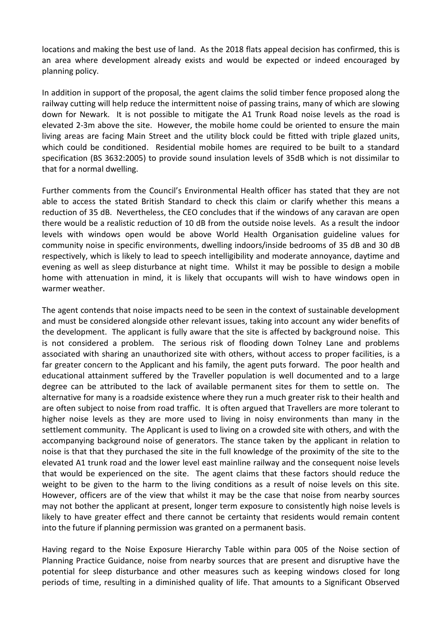locations and making the best use of land. As the 2018 flats appeal decision has confirmed, this is an area where development already exists and would be expected or indeed encouraged by planning policy.

In addition in support of the proposal, the agent claims the solid timber fence proposed along the railway cutting will help reduce the intermittent noise of passing trains, many of which are slowing down for Newark. It is not possible to mitigate the A1 Trunk Road noise levels as the road is elevated 2-3m above the site. However, the mobile home could be oriented to ensure the main living areas are facing Main Street and the utility block could be fitted with triple glazed units, which could be conditioned. Residential mobile homes are required to be built to a standard specification (BS 3632:2005) to provide sound insulation levels of 35dB which is not dissimilar to that for a normal dwelling.

Further comments from the Council's Environmental Health officer has stated that they are not able to access the stated British Standard to check this claim or clarify whether this means a reduction of 35 dB. Nevertheless, the CEO concludes that if the windows of any caravan are open there would be a realistic reduction of 10 dB from the outside noise levels. As a result the indoor levels with windows open would be above World Health Organisation guideline values for community noise in specific environments, dwelling indoors/inside bedrooms of 35 dB and 30 dB respectively, which is likely to lead to speech intelligibility and moderate annoyance, daytime and evening as well as sleep disturbance at night time. Whilst it may be possible to design a mobile home with attenuation in mind, it is likely that occupants will wish to have windows open in warmer weather.

The agent contends that noise impacts need to be seen in the context of sustainable development and must be considered alongside other relevant issues, taking into account any wider benefits of the development. The applicant is fully aware that the site is affected by background noise. This is not considered a problem. The serious risk of flooding down Tolney Lane and problems associated with sharing an unauthorized site with others, without access to proper facilities, is a far greater concern to the Applicant and his family, the agent puts forward. The poor health and educational attainment suffered by the Traveller population is well documented and to a large degree can be attributed to the lack of available permanent sites for them to settle on. The alternative for many is a roadside existence where they run a much greater risk to their health and are often subject to noise from road traffic. It is often argued that Travellers are more tolerant to higher noise levels as they are more used to living in noisy environments than many in the settlement community. The Applicant is used to living on a crowded site with others, and with the accompanying background noise of generators. The stance taken by the applicant in relation to noise is that that they purchased the site in the full knowledge of the proximity of the site to the elevated A1 trunk road and the lower level east mainline railway and the consequent noise levels that would be experienced on the site. The agent claims that these factors should reduce the weight to be given to the harm to the living conditions as a result of noise levels on this site. However, officers are of the view that whilst it may be the case that noise from nearby sources may not bother the applicant at present, longer term exposure to consistently high noise levels is likely to have greater effect and there cannot be certainty that residents would remain content into the future if planning permission was granted on a permanent basis.

Having regard to the Noise Exposure Hierarchy Table within para 005 of the Noise section of Planning Practice Guidance, noise from nearby sources that are present and disruptive have the potential for sleep disturbance and other measures such as keeping windows closed for long periods of time, resulting in a diminished quality of life. That amounts to a Significant Observed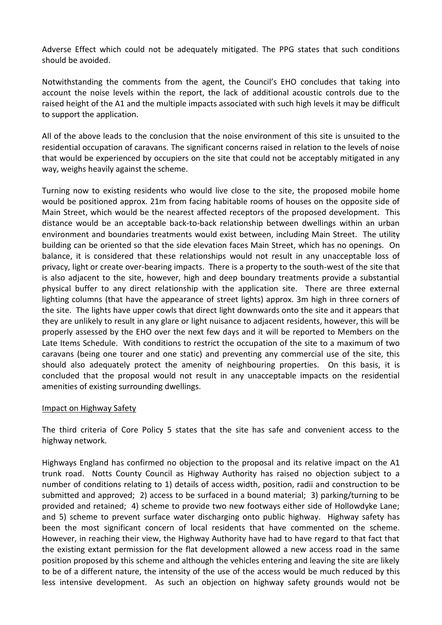Adverse Effect which could not be adequately mitigated. The PPG states that such conditions should be avoided.

Notwithstanding the comments from the agent, the Council's EHO concludes that taking into account the noise levels within the report, the lack of additional acoustic controls due to the raised height of the A1 and the multiple impacts associated with such high levels it may be difficult to support the application.

All of the above leads to the conclusion that the noise environment of this site is unsuited to the residential occupation of caravans. The significant concerns raised in relation to the levels of noise that would be experienced by occupiers on the site that could not be acceptably mitigated in any way, weighs heavily against the scheme.

Turning now to existing residents who would live close to the site, the proposed mobile home would be positioned approx. 21m from facing habitable rooms of houses on the opposite side of Main Street, which would be the nearest affected receptors of the proposed development. This distance would be an acceptable back-to-back relationship between dwellings within an urban environment and boundaries treatments would exist between, including Main Street. The utility building can be oriented so that the side elevation faces Main Street, which has no openings. On balance, it is considered that these relationships would not result in any unacceptable loss of privacy, light or create over-bearing impacts. There is a property to the south-west of the site that is also adjacent to the site, however, high and deep boundary treatments provide a substantial physical buffer to any direct relationship with the application site. There are three external lighting columns (that have the appearance of street lights) approx. 3m high in three corners of the site. The lights have upper cowls that direct light downwards onto the site and it appears that they are unlikely to result in any glare or light nuisance to adjacent residents, however, this will be properly assessed by the EHO over the next few days and it will be reported to Members on the Late Items Schedule. With conditions to restrict the occupation of the site to a maximum of two caravans (being one tourer and one static) and preventing any commercial use of the site, this should also adequately protect the amenity of neighbouring properties. On this basis, it is concluded that the proposal would not result in any unacceptable impacts on the residential amenities of existing surrounding dwellings.

### Impact on Highway Safety

The third criteria of Core Policy 5 states that the site has safe and convenient access to the highway network.

Highways England has confirmed no objection to the proposal and its relative impact on the A1 trunk road. Notts County Council as Highway Authority has raised no objection subject to a number of conditions relating to 1) details of access width, position, radii and construction to be submitted and approved; 2) access to be surfaced in a bound material; 3) parking/turning to be provided and retained; 4) scheme to provide two new footways either side of Hollowdyke Lane; and 5) scheme to prevent surface water discharging onto public highway. Highway safety has been the most significant concern of local residents that have commented on the scheme. However, in reaching their view, the Highway Authority have had to have regard to that fact that the existing extant permission for the flat development allowed a new access road in the same position proposed by this scheme and although the vehicles entering and leaving the site are likely to be of a different nature, the intensity of the use of the access would be much reduced by this less intensive development. As such an objection on highway safety grounds would not be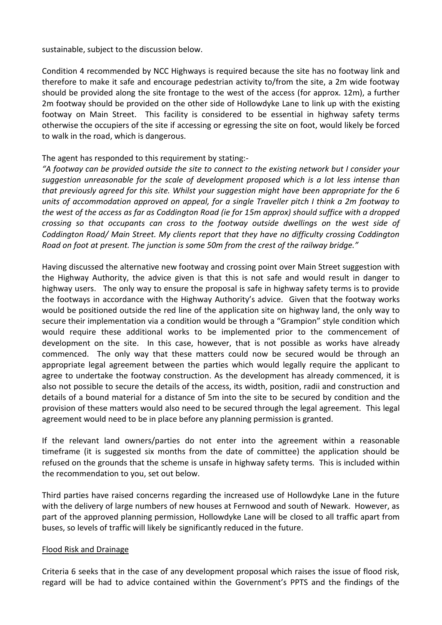sustainable, subject to the discussion below.

Condition 4 recommended by NCC Highways is required because the site has no footway link and therefore to make it safe and encourage pedestrian activity to/from the site, a 2m wide footway should be provided along the site frontage to the west of the access (for approx. 12m), a further 2m footway should be provided on the other side of Hollowdyke Lane to link up with the existing footway on Main Street. This facility is considered to be essential in highway safety terms otherwise the occupiers of the site if accessing or egressing the site on foot, would likely be forced to walk in the road, which is dangerous.

## The agent has responded to this requirement by stating:-

*"A footway can be provided outside the site to connect to the existing network but I consider your suggestion unreasonable for the scale of development proposed which is a lot less intense than that previously agreed for this site. Whilst your suggestion might have been appropriate for the 6 units of accommodation approved on appeal, for a single Traveller pitch I think a 2m footway to the west of the access as far as Coddington Road (ie for 15m approx) should suffice with a dropped crossing so that occupants can cross to the footway outside dwellings on the west side of Coddington Road/ Main Street. My clients report that they have no difficulty crossing Coddington Road on foot at present. The junction is some 50m from the crest of the railway bridge."*

Having discussed the alternative new footway and crossing point over Main Street suggestion with the Highway Authority, the advice given is that this is not safe and would result in danger to highway users. The only way to ensure the proposal is safe in highway safety terms is to provide the footways in accordance with the Highway Authority's advice. Given that the footway works would be positioned outside the red line of the application site on highway land, the only way to secure their implementation via a condition would be through a "Grampion" style condition which would require these additional works to be implemented prior to the commencement of development on the site. In this case, however, that is not possible as works have already commenced. The only way that these matters could now be secured would be through an appropriate legal agreement between the parties which would legally require the applicant to agree to undertake the footway construction. As the development has already commenced, it is also not possible to secure the details of the access, its width, position, radii and construction and details of a bound material for a distance of 5m into the site to be secured by condition and the provision of these matters would also need to be secured through the legal agreement. This legal agreement would need to be in place before any planning permission is granted.

If the relevant land owners/parties do not enter into the agreement within a reasonable timeframe (it is suggested six months from the date of committee) the application should be refused on the grounds that the scheme is unsafe in highway safety terms. This is included within the recommendation to you, set out below.

Third parties have raised concerns regarding the increased use of Hollowdyke Lane in the future with the delivery of large numbers of new houses at Fernwood and south of Newark. However, as part of the approved planning permission, Hollowdyke Lane will be closed to all traffic apart from buses, so levels of traffic will likely be significantly reduced in the future.

### Flood Risk and Drainage

Criteria 6 seeks that in the case of any development proposal which raises the issue of flood risk, regard will be had to advice contained within the Government's PPTS and the findings of the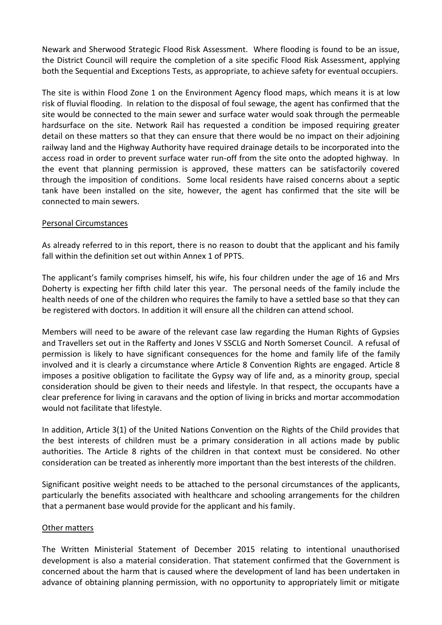Newark and Sherwood Strategic Flood Risk Assessment. Where flooding is found to be an issue, the District Council will require the completion of a site specific Flood Risk Assessment, applying both the Sequential and Exceptions Tests, as appropriate, to achieve safety for eventual occupiers.

The site is within Flood Zone 1 on the Environment Agency flood maps, which means it is at low risk of fluvial flooding. In relation to the disposal of foul sewage, the agent has confirmed that the site would be connected to the main sewer and surface water would soak through the permeable hardsurface on the site. Network Rail has requested a condition be imposed requiring greater detail on these matters so that they can ensure that there would be no impact on their adjoining railway land and the Highway Authority have required drainage details to be incorporated into the access road in order to prevent surface water run-off from the site onto the adopted highway. In the event that planning permission is approved, these matters can be satisfactorily covered through the imposition of conditions. Some local residents have raised concerns about a septic tank have been installed on the site, however, the agent has confirmed that the site will be connected to main sewers.

### Personal Circumstances

As already referred to in this report, there is no reason to doubt that the applicant and his family fall within the definition set out within Annex 1 of PPTS.

The applicant's family comprises himself, his wife, his four children under the age of 16 and Mrs Doherty is expecting her fifth child later this year. The personal needs of the family include the health needs of one of the children who requires the family to have a settled base so that they can be registered with doctors. In addition it will ensure all the children can attend school.

Members will need to be aware of the relevant case law regarding the Human Rights of Gypsies and Travellers set out in the Rafferty and Jones V SSCLG and North Somerset Council. A refusal of permission is likely to have significant consequences for the home and family life of the family involved and it is clearly a circumstance where Article 8 Convention Rights are engaged. Article 8 imposes a positive obligation to facilitate the Gypsy way of life and, as a minority group, special consideration should be given to their needs and lifestyle. In that respect, the occupants have a clear preference for living in caravans and the option of living in bricks and mortar accommodation would not facilitate that lifestyle.

In addition, Article 3(1) of the United Nations Convention on the Rights of the Child provides that the best interests of children must be a primary consideration in all actions made by public authorities. The Article 8 rights of the children in that context must be considered. No other consideration can be treated as inherently more important than the best interests of the children.

Significant positive weight needs to be attached to the personal circumstances of the applicants, particularly the benefits associated with healthcare and schooling arrangements for the children that a permanent base would provide for the applicant and his family.

### Other matters

The Written Ministerial Statement of December 2015 relating to intentional unauthorised development is also a material consideration. That statement confirmed that the Government is concerned about the harm that is caused where the development of land has been undertaken in advance of obtaining planning permission, with no opportunity to appropriately limit or mitigate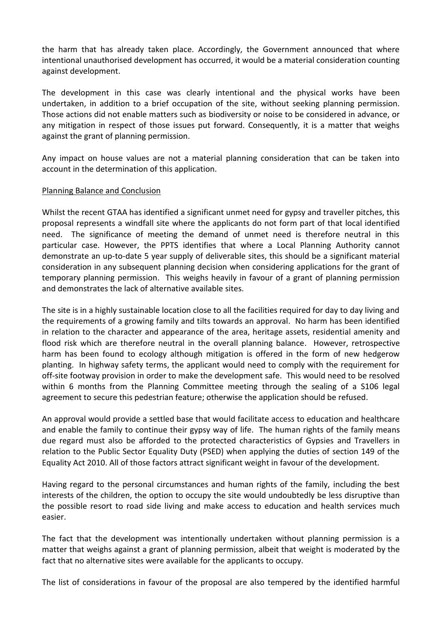the harm that has already taken place. Accordingly, the Government announced that where intentional unauthorised development has occurred, it would be a material consideration counting against development.

The development in this case was clearly intentional and the physical works have been undertaken, in addition to a brief occupation of the site, without seeking planning permission. Those actions did not enable matters such as biodiversity or noise to be considered in advance, or any mitigation in respect of those issues put forward. Consequently, it is a matter that weighs against the grant of planning permission.

Any impact on house values are not a material planning consideration that can be taken into account in the determination of this application.

### Planning Balance and Conclusion

Whilst the recent GTAA has identified a significant unmet need for gypsy and traveller pitches, this proposal represents a windfall site where the applicants do not form part of that local identified need. The significance of meeting the demand of unmet need is therefore neutral in this particular case. However, the PPTS identifies that where a Local Planning Authority cannot demonstrate an up-to-date 5 year supply of deliverable sites, this should be a significant material consideration in any subsequent planning decision when considering applications for the grant of temporary planning permission. This weighs heavily in favour of a grant of planning permission and demonstrates the lack of alternative available sites.

The site is in a highly sustainable location close to all the facilities required for day to day living and the requirements of a growing family and tilts towards an approval. No harm has been identified in relation to the character and appearance of the area, heritage assets, residential amenity and flood risk which are therefore neutral in the overall planning balance. However, retrospective harm has been found to ecology although mitigation is offered in the form of new hedgerow planting. In highway safety terms, the applicant would need to comply with the requirement for off-site footway provision in order to make the development safe. This would need to be resolved within 6 months from the Planning Committee meeting through the sealing of a S106 legal agreement to secure this pedestrian feature; otherwise the application should be refused.

An approval would provide a settled base that would facilitate access to education and healthcare and enable the family to continue their gypsy way of life. The human rights of the family means due regard must also be afforded to the protected characteristics of Gypsies and Travellers in relation to the Public Sector Equality Duty (PSED) when applying the duties of section 149 of the Equality Act 2010. All of those factors attract significant weight in favour of the development.

Having regard to the personal circumstances and human rights of the family, including the best interests of the children, the option to occupy the site would undoubtedly be less disruptive than the possible resort to road side living and make access to education and health services much easier.

The fact that the development was intentionally undertaken without planning permission is a matter that weighs against a grant of planning permission, albeit that weight is moderated by the fact that no alternative sites were available for the applicants to occupy.

The list of considerations in favour of the proposal are also tempered by the identified harmful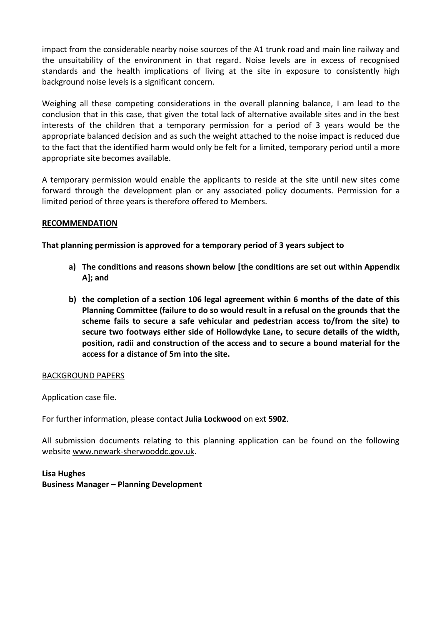impact from the considerable nearby noise sources of the A1 trunk road and main line railway and the unsuitability of the environment in that regard. Noise levels are in excess of recognised standards and the health implications of living at the site in exposure to consistently high background noise levels is a significant concern.

Weighing all these competing considerations in the overall planning balance, I am lead to the conclusion that in this case, that given the total lack of alternative available sites and in the best interests of the children that a temporary permission for a period of 3 years would be the appropriate balanced decision and as such the weight attached to the noise impact is reduced due to the fact that the identified harm would only be felt for a limited, temporary period until a more appropriate site becomes available.

A temporary permission would enable the applicants to reside at the site until new sites come forward through the development plan or any associated policy documents. Permission for a limited period of three years is therefore offered to Members.

## **RECOMMENDATION**

**That planning permission is approved for a temporary period of 3 years subject to**

- **a) The conditions and reasons shown below [the conditions are set out within Appendix A]; and**
- **b) the completion of a section 106 legal agreement within 6 months of the date of this Planning Committee (failure to do so would result in a refusal on the grounds that the scheme fails to secure a safe vehicular and pedestrian access to/from the site) to secure two footways either side of Hollowdyke Lane, to secure details of the width, position, radii and construction of the access and to secure a bound material for the access for a distance of 5m into the site.**

### BACKGROUND PAPERS

Application case file.

For further information, please contact **Julia Lockwood** on ext **5902**.

All submission documents relating to this planning application can be found on the following websit[e www.newark-sherwooddc.gov.uk.](http://www.newark-sherwooddc.gov.uk/)

**Lisa Hughes Business Manager – Planning Development**